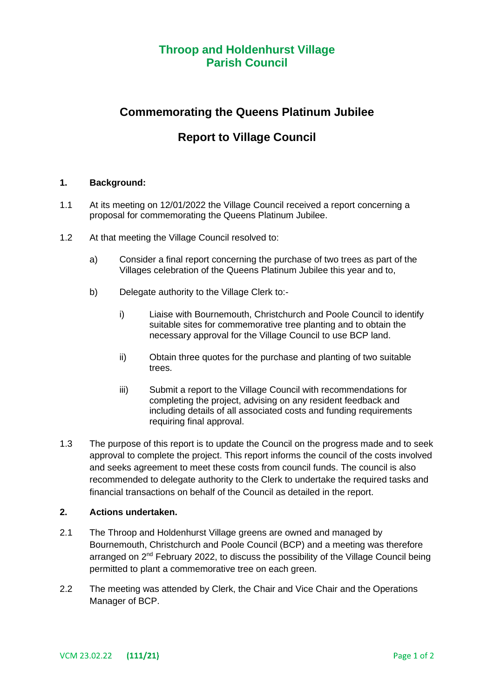# **Throop and Holdenhurst Village Parish Council**

# **Commemorating the Queens Platinum Jubilee**

## **Report to Village Council**

### **1. Background:**

- 1.1 At its meeting on 12/01/2022 the Village Council received a report concerning a proposal for commemorating the Queens Platinum Jubilee.
- 1.2 At that meeting the Village Council resolved to:
	- a) Consider a final report concerning the purchase of two trees as part of the Villages celebration of the Queens Platinum Jubilee this year and to,
	- b) Delegate authority to the Village Clerk to:
		- i) Liaise with Bournemouth, Christchurch and Poole Council to identify suitable sites for commemorative tree planting and to obtain the necessary approval for the Village Council to use BCP land.
		- ii) Obtain three quotes for the purchase and planting of two suitable trees.
		- iii) Submit a report to the Village Council with recommendations for completing the project, advising on any resident feedback and including details of all associated costs and funding requirements requiring final approval.
- 1.3 The purpose of this report is to update the Council on the progress made and to seek approval to complete the project. This report informs the council of the costs involved and seeks agreement to meet these costs from council funds. The council is also recommended to delegate authority to the Clerk to undertake the required tasks and financial transactions on behalf of the Council as detailed in the report.

### **2. Actions undertaken.**

- 2.1 The Throop and Holdenhurst Village greens are owned and managed by Bournemouth, Christchurch and Poole Council (BCP) and a meeting was therefore arranged on 2<sup>nd</sup> February 2022, to discuss the possibility of the Village Council being permitted to plant a commemorative tree on each green.
- 2.2 The meeting was attended by Clerk, the Chair and Vice Chair and the Operations Manager of BCP.